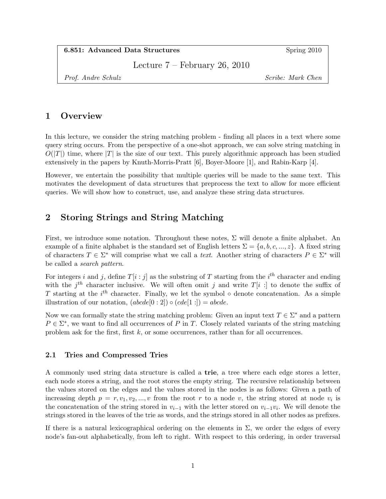6.851: Advanced Data Structures Spring 2010

Lecture 7 – February 26, 2010

Prof. Andre Schulz Scribe: Mark Chen

## 1 Overview

In this lecture, we consider the string matching problem - finding all places in a text where some query string occurs. From the perspective of a one-shot approach, we can solve string matching in  $O(|T|)$  time, where  $|T|$  is the size of our text. This purely algorithmic approach has been studied extensively in the papers by Knuth-Morris-Pratt [6], Boyer-Moore [1], and Rabin-Karp [4].

However, we entertain the possibility that multiple queries will be made to the same text. This motivates the development of data structures that preprocess the text to allow for more efficient queries. We will show how to construct, use, and analyze these string data structures.

# 2 Storing Strings and String Matching

First, we introduce some notation. Throughout these notes,  $\Sigma$  will denote a finite alphabet. An example of a finite alphabet is the standard set of English letters  $\Sigma = \{a, b, c, ..., z\}$ . A fixed string of characters  $T \in \Sigma^*$  will comprise what we call a *text*. Another string of characters  $P \in \Sigma^*$  will be called a search pattern.

For integers i and j, define  $T[i:j]$  as the substring of T starting from the i<sup>th</sup> character and ending with the  $j<sup>th</sup>$  character inclusive. We will often omit j and write  $T[i:]$  to denote the suffix of T starting at the  $i^{th}$  character. Finally, we let the symbol  $\circ$  denote concatenation. As a simple illustration of our notation,  $(abcde[0:2]) \circ (cde[1:]) = abcde.$ 

Now we can formally state the string matching problem: Given an input text  $T \in \Sigma^*$  and a pattern  $P \in \Sigma^*$ , we want to find all occurrences of P in T. Closely related variants of the string matching problem ask for the first, first  $k$ , or some occurrences, rather than for all occurrences.

### 2.1 Tries and Compressed Tries

A commonly used string data structure is called a trie, a tree where each edge stores a letter, each node stores a string, and the root stores the empty string. The recursive relationship between the values stored on the edges and the values stored in the nodes is as follows: Given a path of increasing depth  $p = r, v_1, v_2, ..., v$  from the root r to a node v, the string stored at node  $v_i$  is the concatenation of the string stored in  $v_{i-1}$  with the letter stored on  $v_{i-1}v_i$ . We will denote the strings stored in the leaves of the trie as words, and the strings stored in all other nodes as prefixes.

If there is a natural lexicographical ordering on the elements in  $\Sigma$ , we order the edges of every node's fan-out alphabetically, from left to right. With respect to this ordering, in order traversal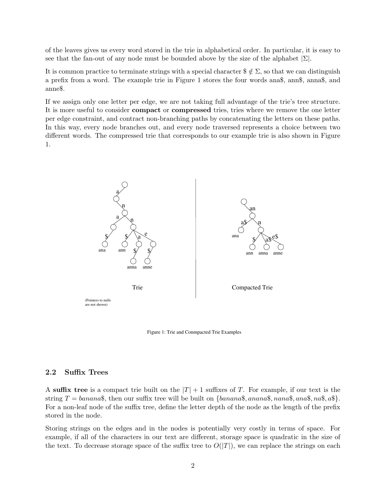of the leaves gives us every word stored in the trie in alphabetical order. In particular, it is easy to see that the fan-out of any node must be bounded above by the size of the alphabet  $|\Sigma|$ .

It is common practice to terminate strings with a special character  $\mathcal{F} \notin \Sigma$ , so that we can distinguish a prefix from a word. The example trie in Figure 1 stores the four words ana\$, ann\$, anna\$, and anne\$.

If we assign only one letter per edge, we are not taking full advantage of the trie's tree structure. It is more useful to consider compact or compressed tries, tries where we remove the one letter per edge constraint, and contract non-branching paths by concatenating the letters on these paths. In this way, every node branches out, and every node traversed represents a choice between two different words. The compressed trie that corresponds to our example trie is also shown in Figure 1.



Figure 1: Trie and Conmpacted Trie Examples

### 2.2 Suffix Trees

A suffix tree is a compact trie built on the  $|T|+1$  suffixes of T. For example, if our text is the string  $T = banana\$ , then our suffix tree will be built on  $\{banana\$ , anana\, nana\, ana\, na\, a\, For a non-leaf node of the suffix tree, define the letter depth of the node as the length of the prefix stored in the node.

Storing strings on the edges and in the nodes is potentially very costly in terms of space. For example, if all of the characters in our text are different, storage space is quadratic in the size of the text. To decrease storage space of the suffix tree to  $O(|T|)$ , we can replace the strings on each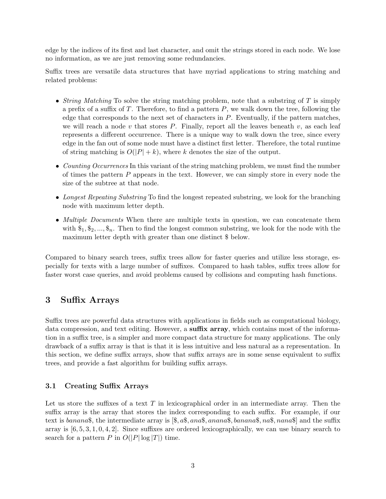edge by the indices of its first and last character, and omit the strings stored in each node. We lose no information, as we are just removing some redundancies.

Suffix trees are versatile data structures that have myriad applications to string matching and related problems:

- String Matching To solve the string matching problem, note that a substring of T is simply a prefix of a suffix of T. Therefore, to find a pattern  $P$ , we walk down the tree, following the edge that corresponds to the next set of characters in P. Eventually, if the pattern matches, we will reach a node v that stores  $P$ . Finally, report all the leaves beneath v, as each leaf represents a different occurrence. There is a unique way to walk down the tree, since every edge in the fan out of some node must have a distinct first letter. Therefore, the total runtime of string matching is  $O(|P|+k)$ , where k denotes the size of the output.
- Counting Occurrences In this variant of the string matching problem, we must find the number of times the pattern  $P$  appears in the text. However, we can simply store in every node the size of the subtree at that node.
- Longest Repeating Substring To find the longest repeated substring, we look for the branching node with maximum letter depth.
- *Multiple Documents* When there are multiple texts in question, we can concatenate them with  $\mathcal{F}_1, \mathcal{F}_2, ..., \mathcal{F}_n$ . Then to find the longest common substring, we look for the node with the maximum letter depth with greater than one distinct \$ below.

Compared to binary search trees, suffix trees allow for faster queries and utilize less storage, especially for texts with a large number of suffixes. Compared to hash tables, suffix trees allow for faster worst case queries, and avoid problems caused by collisions and computing hash functions.

## 3 Suffix Arrays

Suffix trees are powerful data structures with applications in fields such as computational biology, data compression, and text editing. However, a **suffix array**, which contains most of the information in a suffix tree, is a simpler and more compact data structure for many applications. The only drawback of a suffix array is that is that it is less intuitive and less natural as a representation. In this section, we define suffix arrays, show that suffix arrays are in some sense equivalent to suffix trees, and provide a fast algorithm for building suffix arrays.

### 3.1 Creating Suffix Arrays

Let us store the suffixes of a text  $T$  in lexicographical order in an intermediate array. Then the suffix array is the array that stores the index corresponding to each suffix. For example, if our text is banana\$, the intermediate array is  $\$\,a\$\,a\$ ana $\$\,an$  ana $\$\,an$ , na $\$\,an$  ana $\$\,$  and the suffix array is  $[6, 5, 3, 1, 0, 4, 2]$ . Since suffixes are ordered lexicographically, we can use binary search to search for a pattern P in  $O(|P| \log |T|)$  time.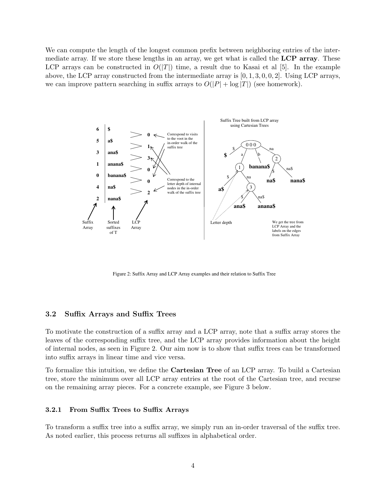We can compute the length of the longest common prefix between neighboring entries of the intermediate array. If we store these lengths in an array, we get what is called the LCP array. These LCP arrays can be constructed in  $O(|T|)$  time, a result due to Kasai et al [5]. In the example above, the LCP array constructed from the intermediate array is  $[0, 1, 3, 0, 0, 2]$ . Using LCP arrays, we can improve pattern searching in suffix arrays to  $O(|P| + \log |T|)$  (see homework).



Figure 2: Suffix Array and LCP Array examples and their relation to Suffix Tree

#### 3.2 Suffix Arrays and Suffix Trees

To motivate the construction of a suffix array and a LCP array, note that a suffix array stores the leaves of the corresponding suffix tree, and the LCP array provides information about the height of internal nodes, as seen in Figure 2. Our aim now is to show that suffix trees can be transformed into suffix arrays in linear time and vice versa.

To formalize this intuition, we define the Cartesian Tree of an LCP array. To build a Cartesian tree, store the minimum over all LCP array entries at the root of the Cartesian tree, and recurse on the remaining array pieces. For a concrete example, see Figure 3 below.

#### 3.2.1 From Suffix Trees to Suffix Arrays

To transform a suffix tree into a suffix array, we simply run an in-order traversal of the suffix tree. As noted earlier, this process returns all suffixes in alphabetical order.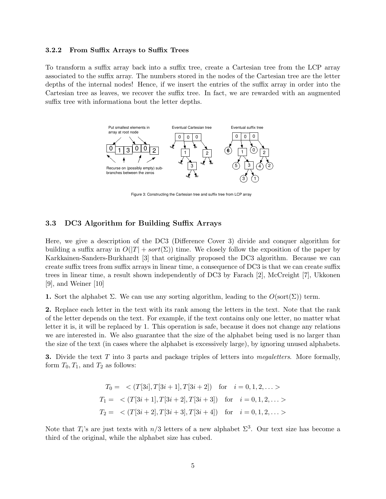#### 3.2.2 From Suffix Arrays to Suffix Trees

To transform a suffix array back into a suffix tree, create a Cartesian tree from the LCP array associated to the suffix array. The numbers stored in the nodes of the Cartesian tree are the letter depths of the internal nodes! Hence, if we insert the entries of the suffix array in order into the Cartesian tree as leaves, we recover the suffix tree. In fact, we are rewarded with an augmented suffix tree with informationa bout the letter depths.



Figure 3: Constructing the Cartesian tree and suffix tree from LCP array

### 3.3 DC3 Algorithm for Building Suffix Arrays

Here, we give a description of the DC3 (Difference Cover 3) divide and conquer algorithm for building a suffix array in  $O(|T| + sort(\Sigma))$  time. We closely follow the exposition of the paper by Karkkainen-Sanders-Burkhardt [3] that originally proposed the DC3 algorithm. Because we can create suffix trees from suffix arrays in linear time, a consequence of DC3 is that we can create suffix trees in linear time, a result shown independently of DC3 by Farach [2], McCreight [7], Ukkonen [9], and Weiner [10]

1. Sort the alphabet Σ. We can use any sorting algorithm, leading to the  $O(\text{sort}(\Sigma))$  term.

2. Replace each letter in the text with its rank among the letters in the text. Note that the rank of the letter depends on the text. For example, if the text contains only one letter, no matter what letter it is, it will be replaced by 1. This operation is safe, because it does not change any relations we are interested in. We also guarantee that the size of the alphabet being used is no larger than the size of the text (in cases where the alphabet is excessively large), by ignoring unused alphabets.

**3.** Divide the text  $T$  into 3 parts and package triples of letters into *megaletters*. More formally, form  $T_0, T_1$ , and  $T_2$  as follows:

$$
T_0 = \langle (T[3i], T[3i+1], T[3i+2]) \text{ for } i = 0, 1, 2, ... >
$$
  
\n
$$
T_1 = \langle (T[3i+1], T[3i+2], T[3i+3]) \text{ for } i = 0, 1, 2, ... >
$$
  
\n
$$
T_2 = \langle (T[3i+2], T[3i+3], T[3i+4]) \text{ for } i = 0, 1, 2, ... >
$$

Note that  $T_i$ 's are just texts with  $n/3$  letters of a new alphabet  $\Sigma^3$ . Our text size has become a third of the original, while the alphabet size has cubed.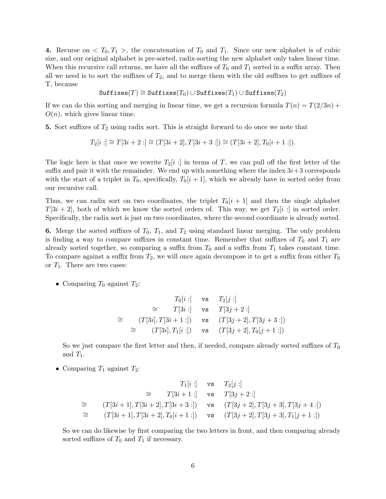4. Recurse on  $\langle T_0, T_1 \rangle$ , the concatenation of  $T_0$  and  $T_1$ . Since our new alphabet is of cubic size, and our original alphabet is pre-sorted, radix-sorting the new alphabet only takes linear time. When this recursive call returns, we have all the suffixes of  $T_0$  and  $T_1$  sorted in a suffix array. Then all we need is to sort the suffixes of  $T_2$ , and to merge them with the old suffixes to get suffixes of T, because

$$
\texttt{Suffixes}(T) \cong \texttt{Suffixes}(T_0) \cup \texttt{Suffixes}(T_1) \cup \texttt{Suffixes}(T_2)
$$

If we can do this sorting and merging in linear time, we get a recursion formula  $T(n) = T(2/3n) +$  $O(n)$ , which gives linear time.

5. Sort suffixes of  $T_2$  using radix sort. This is straight forward to do once we note that

$$
T_2[i:] \cong T[3i + 2:] \cong (T[3i + 2], T[3i + 3:]) \cong (T[3i + 2], T_0[i + 1:]).
$$

The logic here is that once we rewrite  $T_2[i]$  in terms of T, we can pull off the first letter of the suffix and pair it with the remainder. We end up with something where the index  $3i+3$  corresponds with the start of a triplet in  $T_0$ , specifically,  $T_0[i+1]$ , which we already have in sorted order from our recursive call.

Thus, we can radix sort on two coordinates, the triplet  $T_0[i+1]$  and then the single alphabet  $T[3i + 2]$ , both of which we know the sorted orders of. This way, we get  $T_2[i]$  is sorted order. Specifically, the radix sort is just on two coordinates, where the second coordinate is already sorted.

**6.** Merge the sorted suffixes of  $T_0$ ,  $T_1$ , and  $T_2$  using standard linear merging. The only problem is finding a way to compare suffixes in constant time. Remember that suffixes of  $T_0$  and  $T_1$  are already sorted together, so comparing a suffix from  $T_0$  and a suffix from  $T_1$  takes constant time. To compare against a suffix from  $T_2$ , we will once again decompose it to get a suffix from either  $T_0$ or  $T_1$ . There are two cases:

• Comparing  $T_0$  against  $T_2$ :

$$
T_0[i:] \text{ vs } T_2[j:]
$$
  
\n
$$
\cong T[3i:] \text{ vs } T[3j+2:]
$$
  
\n
$$
\cong (T[3i], T[3i+1:]) \text{ vs } (T[3j+2], T[3j+3:])
$$
  
\n
$$
\cong (T[3i], T_1[i:]) \text{ vs } (T[3j+2], T_0[j+1:])
$$

So we just compare the first letter and then, if needed, compare already sorted suffixes of  $T_0$ and  $T_1$ .

• Comparing  $T_1$  against  $T_2$ :

$$
T_1[i:] \quad \text{vs} \quad T_2[j:]
$$
  
\n
$$
\cong \quad T[3i+1:] \quad \text{vs} \quad T[3j+2:]
$$
  
\n
$$
\cong \quad (T[3i+1], T[3i+2], T[3i+3:]) \quad \text{vs} \quad (T[3j+2], T[3j+3], T[3j+4:])
$$
  
\n
$$
\cong \quad (T[3i+1], T[3i+2], T_0[i+1:]) \quad \text{vs} \quad (T[3j+2], T[3j+3], T_1[j+1:])
$$

So we can do likewise by first comparing the two letters in front, and then comparing already sorted suffixes of  $T_0$  and  $T_1$  if necessary.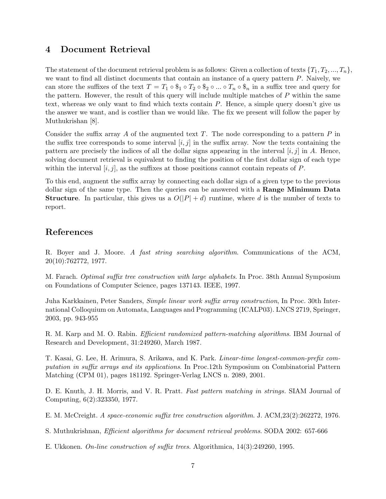## 4 Document Retrieval

The statement of the document retrieval problem is as follows: Given a collection of texts  $\{T_1, T_2, ..., T_n\}$ , we want to find all distinct documents that contain an instance of a query pattern  $P$ . Naively, we can store the suffixes of the text  $T = T_1 \circ \S_1 \circ T_2 \circ \S_2 \circ ... \circ T_n \circ \S_n$  in a suffix tree and query for the pattern. However, the result of this query will include multiple matches of P within the same text, whereas we only want to find which texts contain P. Hence, a simple query doesn't give us the answer we want, and is costlier than we would like. The fix we present will follow the paper by Muthukrishan [8].

Consider the suffix array A of the augmented text T. The node corresponding to a pattern  $P$  in the suffix tree corresponds to some interval  $[i, j]$  in the suffix array. Now the texts containing the pattern are precisely the indices of all the dollar signs appearing in the interval  $[i, j]$  in A. Hence, solving document retrieval is equivalent to finding the position of the first dollar sign of each type within the interval  $[i, j]$ , as the suffixes at those positions cannot contain repeats of P.

To this end, augment the suffix array by connecting each dollar sign of a given type to the previous dollar sign of the same type. Then the queries can be answered with a Range Minimum Data **Structure.** In particular, this gives us a  $O(|P|+d)$  runtime, where d is the number of texts to report.

## References

R. Boyer and J. Moore. A fast string searching algorithm. Communications of the ACM, 20(10):762772, 1977.

M. Farach. Optimal suffix tree construction with large alphabets. In Proc. 38th Annual Symposium on Foundations of Computer Science, pages 137143. IEEE, 1997.

Juha Karkkainen, Peter Sanders, Simple linear work suffix array construction, In Proc. 30th International Colloquium on Automata, Languages and Programming (ICALP03). LNCS 2719, Springer, 2003, pp. 943-955

R. M. Karp and M. O. Rabin. Efficient randomized pattern-matching algorithms. IBM Journal of Research and Development, 31:249260, March 1987.

T. Kasai, G. Lee, H. Arimura, S. Arikawa, and K. Park. Linear-time longest-common-prefix computation in suffix arrays and its applications. In Proc.12th Symposium on Combinatorial Pattern Matching (CPM 01), pages 181192. Springer-Verlag LNCS n. 2089, 2001.

D. E. Knuth, J. H. Morris, and V. R. Pratt. Fast pattern matching in strings. SIAM Journal of Computing, 6(2):323350, 1977.

E. M. McCreight. A space-economic suffix tree construction algorithm. J. ACM,23(2):262272, 1976.

S. Muthukrishnan, Efficient algorithms for document retrieval problems. SODA 2002: 657-666

E. Ukkonen. On-line construction of suffix trees. Algorithmica, 14(3):249260, 1995.